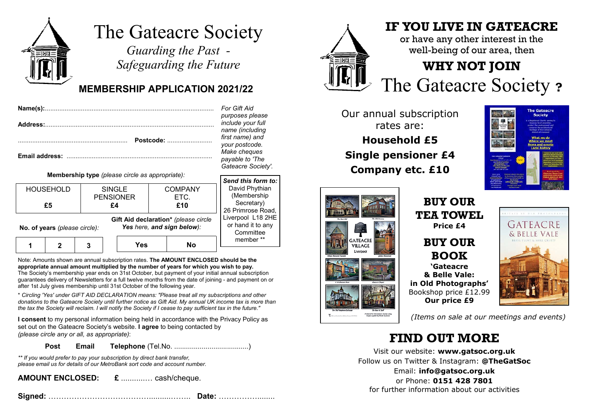

# The Gateacre Society

*Guarding the Past - Safeguarding the Future*

#### **MEMBERSHIP APPLICATION 2021/22**

| Postcode: |  |  | For Gift Aid<br>purposes please<br>include your full<br>name (including<br>first name) and<br>your postcode.<br>Make cheques<br>payable to 'The<br>Gateacre Society |                                                 |                                         |                               |                                                                |
|-----------|--|--|---------------------------------------------------------------------------------------------------------------------------------------------------------------------|-------------------------------------------------|-----------------------------------------|-------------------------------|----------------------------------------------------------------|
|           |  |  |                                                                                                                                                                     | Membership type (please circle as appropriate): |                                         |                               | Send this form                                                 |
|           |  |  |                                                                                                                                                                     | <b>HOUSEHOLD</b><br>£5                          | <b>SINGLE</b><br><b>PENSIONER</b><br>£4 | <b>COMPANY</b><br>ETC.<br>£10 | David Phythia<br>(Membership<br>Secretary)<br>00 Deimens on De |

*name (including first name) and*  $postcode$ . *Make cheques payable to 'The Gateacre Society'. Send this form to:*avid Phythian

1 2 3 **No. of years** *(please circle):* **Yes NoGift Aid declaration\*** *(please circle Yes here, and sign below):* **Membership** Secretary) 26 Primrose Road, Liverpool L18 2HE or hand it to any **Committee** member \*\*

Note: Amounts shown are annual subscription rates. **The AMOUNT ENCLOSED should be the appropriate annual amount multiplied by the number of years for which you wish to pay.** The Society's membership year ends on 31st October, but payment of your initial annual subscription guarantees delivery of Newsletters for a full twelve months from the date of joining - and payment on or after 1st July gives membership until 31st October of the following year.

\* *Circling 'Yes' under GIFT AID DECLARATION means: "Please treat all my subscriptions and other donations to the Gateacre Society until further notice as Gift Aid. My annual UK income tax is more than the tax the Society will reclaim. I will notify the Society if I cease to pay sufficient tax in the future."*

**I consent** to my personal information being held in accordance with the Privacy Policy as set out on the Gateacre Society's website. **I agree** to being contacted by *(please circle any or all, as appropriate)*:

**Post Email Telephone** (Tel.No. ......................................)

*\*\* If you would prefer to pay your subscription by direct bank transfer, please email us for details of our MetroBank sort code and account number.*

**AMOUNT ENCLOSED: £** ...........… cash/cheque.

**Signed:** …………………………………..........…….. **Date:** ……………........



### **IF YOU LIVE IN GATEACRE**

or have any other interest in the well-being of our area, then

## **WHY NOT JOIN** 2 <sup>*IIIII*</sup> The Gateacre Society ?

Our annual subscription rates are:**Household £5Single pensioner £4 Company etc. £10**





**BUY OURTEA TOWELPrice £4BUY OURBOOK'Gateacre& Belle Vale:in Old Photographs'** Bookshop price £12.99 **Our price £9**



*(Items on sale at our meetings and events)*

### **FIND OUT MORE**

Visit our website: **www.gatsoc.org.uk** Follow us on Twitter & Instagram: **@TheGatSoc** Email: **info@gatsoc.org.uk** or Phone: **0151 428 7801**for further information about our activities